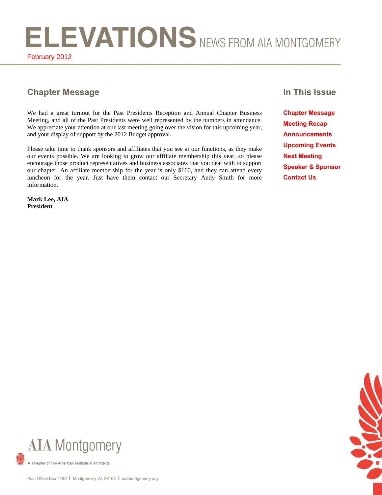ELEVATIONS NEWS FROM AIA MONTGOMERY February 2012

# **Chapter Message In This Issue**

We had a great turnout for the Past Presidents Reception and Annual Chapter Business Meeting, and all of the Past Presidents were well represented by the numbers in attendance. We appreciate your attention at our last meeting going over the vision for this upcoming year, and your display of support by the 2012 Budget approval.

Please take time to thank sponsors and affiliates that you see at our functions, as they make our events possible. We are looking to grow our affiliate membership this year, so please encourage those product representatives and business associates that you deal with to support our chapter. An affiliate membership for the year is only \$160, and they can attend every luncheon for the year. Just have them contact our Secretary Andy Smith for more information.

**Mark Lee, AIA President** 

**Chapter Message Meeting Recap Announcements Upcoming Events Next Meeting Speaker & Sponsor Contact Us** 

NU

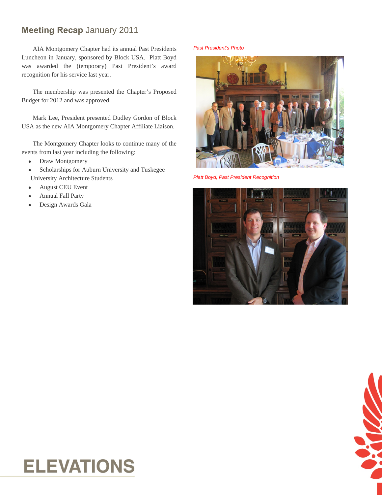# **Meeting Recap** January 2011

AIA Montgomery Chapter had its annual Past Presidents Luncheon in January, sponsored by Block USA. Platt Boyd was awarded the (temporary) Past President's award recognition for his service last year.

The membership was presented the Chapter's Proposed Budget for 2012 and was approved.

Mark Lee, President presented Dudley Gordon of Block USA as the new AIA Montgomery Chapter Affiliate Liaison.

The Montgomery Chapter looks to continue many of the events from last year including the following:

- Draw Montgomery
- Scholarships for Auburn University and Tuskegee University Architecture Students
- August CEU Event
- Annual Fall Party
- Design Awards Gala

*Past President's Photo*



*Platt Boyd, Past President Recognition*





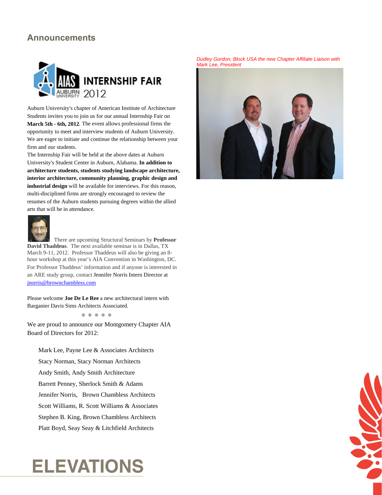# **Announcements**



[Auburn University](http://apps.cadc.auburn.edu/aias/internship/registration.htm)'[s chapter of American Institute of Architectu](http://apps.cadc.auburn.edu/aias/internship/registration.htm)re Students invites you to join us for our annual Internship Fair on **March 5th - 6th, 2012**. The event allows professional firms the opportunity to meet and interview students of Auburn University. We are eager to initiate and continue the relationship between your firm and our students.

The Internship Fair will be held at the above dates at Auburn University's Student Center in Auburn, Alabama. **In addition to architecture students, students studying landscape architecture, interior architecture, community planning, graphic design and industrial design** will be available for interviews. For this reason, multi-disciplined firms are strongly encouraged to review the resumes of the Auburn students pursuing degrees within the allied arts that will be in attendance.



 There are upcoming Structural Seminars by **Professor David Thaddeus**. The next available seminar is in Dallas, TX March 9-11, 2012. Professor Thaddeus will also be giving an 8 hour workshop at this year's AIA Convention in Washington, DC. For Professor Thaddeus' information and if anyone is interested in an ARE study group, contact Jennifer Norris Intern Director at jnorris@brownchambless.com

Please welcome **Joe De Le Ree** a new architectural intern with Barganier Davis Sims Architects Associated.

**● ● ● ● ●**

We are proud to announce our Montgomery Chapter AIA Board of Directors for 2012:

Mark Lee, Payne Lee & Associates Architects Stacy Norman, Stacy Norman Architects Andy Smith, Andy Smith Architecture Barrett Penney, Sherlock Smith & Adams Jennifer Norris, Brown Chambless Architects Scott Williams, R. Scott Williams & Associates Stephen B. King, Brown Chambless Architects Platt Boyd, Seay Seay & Litchfield Architects



*Dudley Gordon, Block USA the new Chapter Affiliate Liaison with Mark Lee, President*